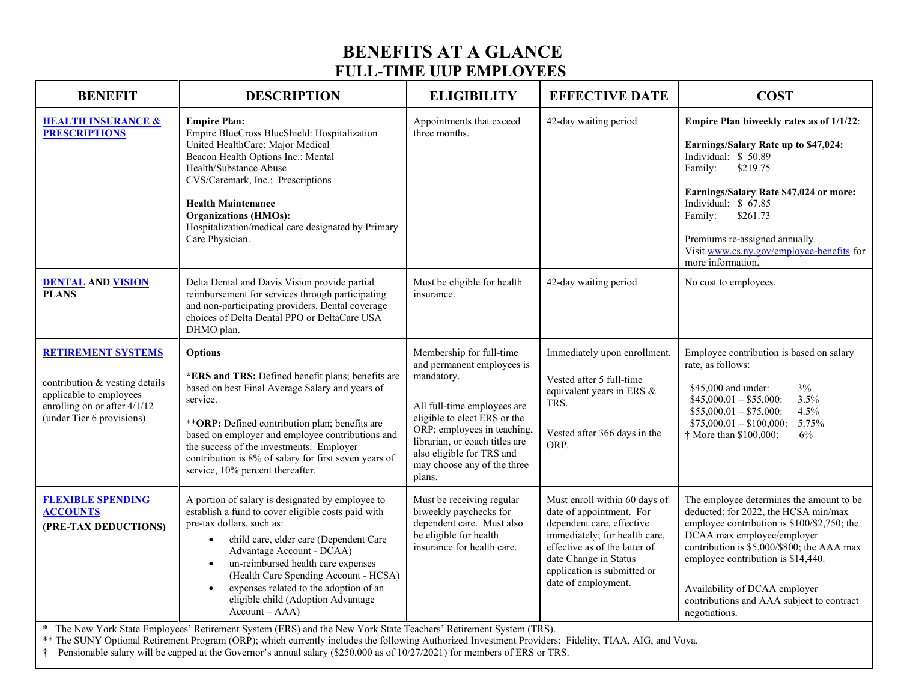## **BENEFITS AT A GLANCE FULL-TIME UUP EMPLOYEES**

| <b>BENEFIT</b>                                                                                                                                      | <b>DESCRIPTION</b>                                                                                                                                                                                                                                                                                                                                                                                                                                                                                                                         | <b>ELIGIBILITY</b>                                                                                                                                                                                                                                                         | <b>EFFECTIVE DATE</b>                                                                                                                                                                                                                   | <b>COST</b>                                                                                                                                                                                                                                                                                                                                      |
|-----------------------------------------------------------------------------------------------------------------------------------------------------|--------------------------------------------------------------------------------------------------------------------------------------------------------------------------------------------------------------------------------------------------------------------------------------------------------------------------------------------------------------------------------------------------------------------------------------------------------------------------------------------------------------------------------------------|----------------------------------------------------------------------------------------------------------------------------------------------------------------------------------------------------------------------------------------------------------------------------|-----------------------------------------------------------------------------------------------------------------------------------------------------------------------------------------------------------------------------------------|--------------------------------------------------------------------------------------------------------------------------------------------------------------------------------------------------------------------------------------------------------------------------------------------------------------------------------------------------|
| <b>HEALTH INSURANCE &amp;</b><br><b>PRESCRIPTIONS</b>                                                                                               | <b>Empire Plan:</b><br>Empire BlueCross BlueShield: Hospitalization<br>United HealthCare: Major Medical<br>Beacon Health Options Inc.: Mental<br>Health/Substance Abuse<br>CVS/Caremark, Inc.: Prescriptions<br><b>Health Maintenance</b><br><b>Organizations (HMOs):</b><br>Hospitalization/medical care designated by Primary<br>Care Physician.                                                                                                                                                                                         | Appointments that exceed<br>three months.                                                                                                                                                                                                                                  | 42-day waiting period                                                                                                                                                                                                                   | Empire Plan biweekly rates as of 1/1/22:<br>Earnings/Salary Rate up to \$47,024:<br>Individual: \$50.89<br>Family:<br>\$219.75<br>Earnings/Salary Rate \$47,024 or more:<br>Individual: \$ 67.85<br>Family:<br>\$261.73<br>Premiums re-assigned annually.<br>Visit www.cs.ny.gov/employee-benefits for<br>more information.                      |
| <b>DENTAL AND VISION</b><br><b>PLANS</b>                                                                                                            | Delta Dental and Davis Vision provide partial<br>reimbursement for services through participating<br>and non-participating providers. Dental coverage<br>choices of Delta Dental PPO or DeltaCare USA<br>DHMO plan.                                                                                                                                                                                                                                                                                                                        | Must be eligible for health<br>insurance.                                                                                                                                                                                                                                  | 42-day waiting period                                                                                                                                                                                                                   | No cost to employees.                                                                                                                                                                                                                                                                                                                            |
| <b>RETIREMENT SYSTEMS</b><br>contribution & vesting details<br>applicable to employees<br>enrolling on or after 4/1/12<br>(under Tier 6 provisions) | <b>Options</b><br>*ERS and TRS: Defined benefit plans; benefits are<br>based on best Final Average Salary and years of<br>service.<br>** ORP: Defined contribution plan; benefits are<br>based on employer and employee contributions and<br>the success of the investments. Employer<br>contribution is 8% of salary for first seven years of<br>service, 10% percent thereafter.                                                                                                                                                         | Membership for full-time<br>and permanent employees is<br>mandatory.<br>All full-time employees are<br>eligible to elect ERS or the<br>ORP; employees in teaching,<br>librarian, or coach titles are<br>also eligible for TRS and<br>may choose any of the three<br>plans. | Immediately upon enrollment.<br>Vested after 5 full-time<br>equivalent years in ERS $&$<br>TRS.<br>Vested after 366 days in the<br>ORP.                                                                                                 | Employee contribution is based on salary<br>rate, as follows:<br>\$45,000 and under:<br>3%<br>3.5%<br>$$45,000.01 - $55,000$ :<br>4.5%<br>$$55,000.01 - $75,000$ :<br>5.75%<br>$$75,000.01 - $100,000$ :<br>† More than \$100,000:<br>6%                                                                                                         |
| <b>FLEXIBLE SPENDING</b><br><b>ACCOUNTS</b><br>(PRE-TAX DEDUCTIONS)<br>*                                                                            | A portion of salary is designated by employee to<br>establish a fund to cover eligible costs paid with<br>pre-tax dollars, such as:<br>child care, elder care (Dependent Care<br>$\bullet$<br>Advantage Account - DCAA)<br>un-reimbursed health care expenses<br>$\bullet$<br>(Health Care Spending Account - HCSA)<br>expenses related to the adoption of an<br>eligible child (Adoption Advantage<br>$Account - AAA)$<br>The New York State Employees' Retirement System (ERS) and the New York State Teachers' Retirement System (TRS). | Must be receiving regular<br>biweekly paychecks for<br>dependent care. Must also<br>be eligible for health<br>insurance for health care.                                                                                                                                   | Must enroll within 60 days of<br>date of appointment. For<br>dependent care, effective<br>immediately; for health care,<br>effective as of the latter of<br>date Change in Status<br>application is submitted or<br>date of employment. | The employee determines the amount to be<br>deducted; for 2022, the HCSA min/max<br>employee contribution is \$100/\$2,750; the<br>DCAA max employee/employer<br>contribution is \$5,000/\$800; the AAA max<br>employee contribution is \$14,440.<br>Availability of DCAA employer<br>contributions and AAA subject to contract<br>negotiations. |

\*\* The SUNY Optional Retirement Program (ORP); which currently includes the following Authorized Investment Providers: Fidelity, TIAA, AIG, and Voya.

† Pensionable salary will be capped at the Governor's annual salary (\$250,000 as of 10/27/2021) for members of ERS or TRS.